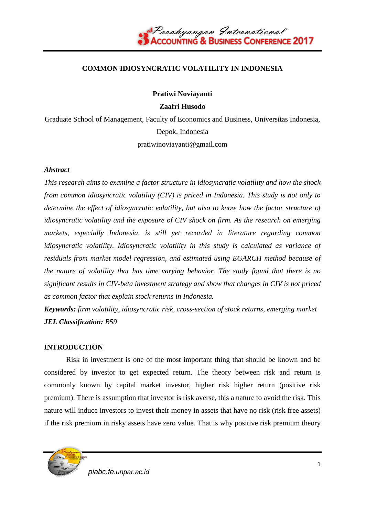

### **COMMON IDIOSYNCRATIC VOLATILITY IN INDONESIA**

**Pratiwi Noviayanti**

**Zaafri Husodo**

Graduate School of Management, Faculty of Economics and Business, Universitas Indonesia, Depok, Indonesia pratiwinoviayanti@gmail.com

#### *Abstract*

*This research aims to examine a factor structure in idiosyncratic volatility and how the shock from common idiosyncratic volatility (CIV) is priced in Indonesia. This study is not only to determine the effect of idiosyncratic volatility, but also to know how the factor structure of idiosyncratic volatility and the exposure of CIV shock on firm. As the research on emerging markets, especially Indonesia, is still yet recorded in literature regarding common idiosyncratic volatility. Idiosyncratic volatility in this study is calculated as variance of residuals from market model regression, and estimated using EGARCH method because of the nature of volatility that has time varying behavior. The study found that there is no significant results in CIV-beta investment strategy and show that changes in CIV is not priced as common factor that explain stock returns in Indonesia.* 

*Keywords: firm volatility, idiosyncratic risk, cross-section of stock returns, emerging market JEL Classification: B59*

#### **INTRODUCTION**

Risk in investment is one of the most important thing that should be known and be considered by investor to get expected return. The theory between risk and return is commonly known by capital market investor, higher risk higher return (positive risk premium). There is assumption that investor is risk averse, this a nature to avoid the risk. This nature will induce investors to invest their money in assets that have no risk (risk free assets) if the risk premium in risky assets have zero value. That is why positive risk premium theory



*piabc.fe.unpar.ac.id*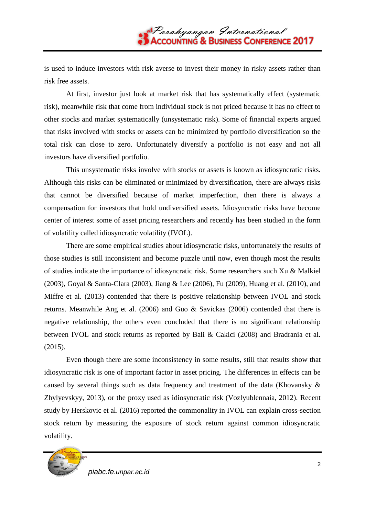is used to induce investors with risk averse to invest their money in risky assets rather than risk free assets.

At first, investor just look at market risk that has systematically effect (systematic risk), meanwhile risk that come from individual stock is not priced because it has no effect to other stocks and market systematically (unsystematic risk). Some of financial experts argued that risks involved with stocks or assets can be minimized by portfolio diversification so the total risk can close to zero. Unfortunately diversify a portfolio is not easy and not all investors have diversified portfolio.

This unsystematic risks involve with stocks or assets is known as idiosyncratic risks. Although this risks can be eliminated or minimized by diversification, there are always risks that cannot be diversified because of market imperfection, then there is always a compensation for investors that hold undiversified assets. Idiosyncratic risks have become center of interest some of asset pricing researchers and recently has been studied in the form of volatility called idiosyncratic volatility (IVOL).

There are some empirical studies about idiosyncratic risks, unfortunately the results of those studies is still inconsistent and become puzzle until now, even though most the results of studies indicate the importance of idiosyncratic risk. Some researchers such Xu & Malkiel (2003), Goyal & Santa-Clara (2003), Jiang & Lee (2006), Fu (2009), Huang et al. (2010), and Miffre et al. (2013) contended that there is positive relationship between IVOL and stock returns. Meanwhile Ang et al. (2006) and Guo & Savickas (2006) contended that there is negative relationship, the others even concluded that there is no significant relationship between IVOL and stock returns as reported by Bali & Cakici (2008) and Bradrania et al. (2015).

Even though there are some inconsistency in some results, still that results show that idiosyncratic risk is one of important factor in asset pricing. The differences in effects can be caused by several things such as data frequency and treatment of the data (Khovansky & Zhylyevskyy, 2013), or the proxy used as idiosyncratic risk (Vozlyublennaia, 2012). Recent study by Herskovic et al. (2016) reported the commonality in IVOL can explain cross-section stock return by measuring the exposure of stock return against common idiosyncratic volatility.

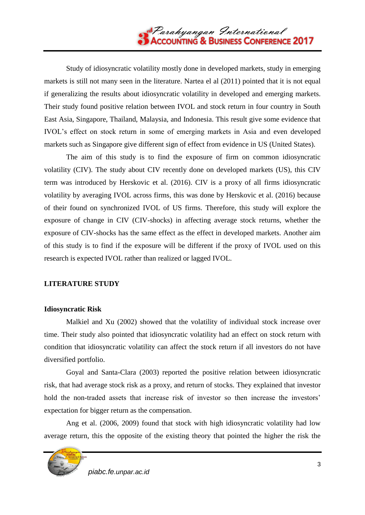

Study of idiosyncratic volatility mostly done in developed markets, study in emerging markets is still not many seen in the literature. Nartea el al (2011) pointed that it is not equal if generalizing the results about idiosyncratic volatility in developed and emerging markets. Their study found positive relation between IVOL and stock return in four country in South East Asia, Singapore, Thailand, Malaysia, and Indonesia. This result give some evidence that IVOL's effect on stock return in some of emerging markets in Asia and even developed markets such as Singapore give different sign of effect from evidence in US (United States).

The aim of this study is to find the exposure of firm on common idiosyncratic volatility (CIV). The study about CIV recently done on developed markets (US), this CIV term was introduced by Herskovic et al. (2016). CIV is a proxy of all firms idiosyncratic volatility by averaging IVOL across firms, this was done by Herskovic et al. (2016) because of their found on synchronized IVOL of US firms. Therefore, this study will explore the exposure of change in CIV (CIV-shocks) in affecting average stock returns, whether the exposure of CIV-shocks has the same effect as the effect in developed markets. Another aim of this study is to find if the exposure will be different if the proxy of IVOL used on this research is expected IVOL rather than realized or lagged IVOL.

## **LITERATURE STUDY**

## **Idiosyncratic Risk**

Malkiel and Xu (2002) showed that the volatility of individual stock increase over time. Their study also pointed that idiosyncratic volatility had an effect on stock return with condition that idiosyncratic volatility can affect the stock return if all investors do not have diversified portfolio.

Goyal and Santa-Clara (2003) reported the positive relation between idiosyncratic risk, that had average stock risk as a proxy, and return of stocks. They explained that investor hold the non-traded assets that increase risk of investor so then increase the investors' expectation for bigger return as the compensation.

Ang et al. (2006, 2009) found that stock with high idiosyncratic volatility had low average return, this the opposite of the existing theory that pointed the higher the risk the

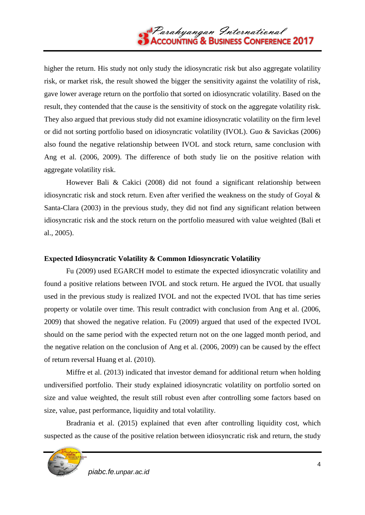higher the return. His study not only study the idiosyncratic risk but also aggregate volatility risk, or market risk, the result showed the bigger the sensitivity against the volatility of risk, gave lower average return on the portfolio that sorted on idiosyncratic volatility. Based on the result, they contended that the cause is the sensitivity of stock on the aggregate volatility risk. They also argued that previous study did not examine idiosyncratic volatility on the firm level or did not sorting portfolio based on idiosyncratic volatility (IVOL). Guo & Savickas (2006) also found the negative relationship between IVOL and stock return, same conclusion with Ang et al. (2006, 2009). The difference of both study lie on the positive relation with aggregate volatility risk.

However Bali & Cakici (2008) did not found a significant relationship between idiosyncratic risk and stock return. Even after verified the weakness on the study of Goyal  $\&$ Santa-Clara (2003) in the previous study, they did not find any significant relation between idiosyncratic risk and the stock return on the portfolio measured with value weighted (Bali et al., 2005).

# **Expected Idiosyncratic Volatility & Common Idiosyncratic Volatility**

Fu (2009) used EGARCH model to estimate the expected idiosyncratic volatility and found a positive relations between IVOL and stock return. He argued the IVOL that usually used in the previous study is realized IVOL and not the expected IVOL that has time series property or volatile over time. This result contradict with conclusion from Ang et al. (2006, 2009) that showed the negative relation. Fu (2009) argued that used of the expected IVOL should on the same period with the expected return not on the one lagged month period, and the negative relation on the conclusion of Ang et al. (2006, 2009) can be caused by the effect of return reversal Huang et al. (2010).

Miffre et al. (2013) indicated that investor demand for additional return when holding undiversified portfolio. Their study explained idiosyncratic volatility on portfolio sorted on size and value weighted, the result still robust even after controlling some factors based on size, value, past performance, liquidity and total volatility.

Bradrania et al. (2015) explained that even after controlling liquidity cost, which suspected as the cause of the positive relation between idiosyncratic risk and return, the study

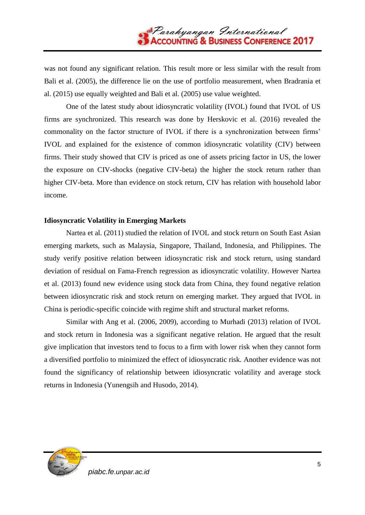was not found any significant relation. This result more or less similar with the result from Bali et al. (2005), the difference lie on the use of portfolio measurement, when Bradrania et al. (2015) use equally weighted and Bali et al. (2005) use value weighted.

One of the latest study about idiosyncratic volatility (IVOL) found that IVOL of US firms are synchronized. This research was done by Herskovic et al. (2016) revealed the commonality on the factor structure of IVOL if there is a synchronization between firms' IVOL and explained for the existence of common idiosyncratic volatility (CIV) between firms. Their study showed that CIV is priced as one of assets pricing factor in US, the lower the exposure on CIV-shocks (negative CIV-beta) the higher the stock return rather than higher CIV-beta. More than evidence on stock return, CIV has relation with household labor income.

### **Idiosyncratic Volatility in Emerging Markets**

Nartea et al. (2011) studied the relation of IVOL and stock return on South East Asian emerging markets, such as Malaysia, Singapore, Thailand, Indonesia, and Philippines. The study verify positive relation between idiosyncratic risk and stock return, using standard deviation of residual on Fama-French regression as idiosyncratic volatility. However Nartea et al. (2013) found new evidence using stock data from China, they found negative relation between idiosyncratic risk and stock return on emerging market. They argued that IVOL in China is periodic-specific coincide with regime shift and structural market reforms.

Similar with Ang et al. (2006, 2009), according to Murhadi (2013) relation of IVOL and stock return in Indonesia was a significant negative relation. He argued that the result give implication that investors tend to focus to a firm with lower risk when they cannot form a diversified portfolio to minimized the effect of idiosyncratic risk. Another evidence was not found the significancy of relationship between idiosyncratic volatility and average stock returns in Indonesia (Yunengsih and Husodo, 2014).

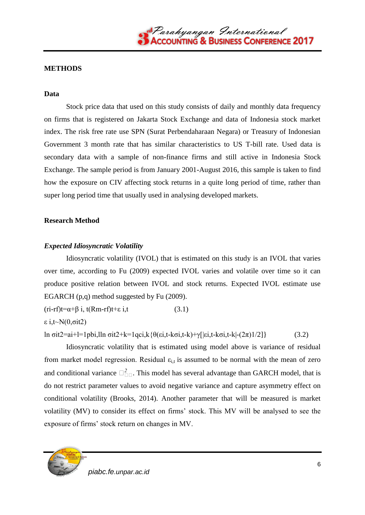### **METHODS**

#### **Data**

Stock price data that used on this study consists of daily and monthly data frequency on firms that is registered on Jakarta Stock Exchange and data of Indonesia stock market index. The risk free rate use SPN (Surat Perbendaharaan Negara) or Treasury of Indonesian Government 3 month rate that has similar characteristics to US T-bill rate. Used data is secondary data with a sample of non-finance firms and still active in Indonesia Stock Exchange. The sample period is from January 2001-August 2016, this sample is taken to find how the exposure on CIV affecting stock returns in a quite long period of time, rather than super long period time that usually used in analysing developed markets.

### **Research Method**

## *Expected Idiosyncratic Volatility*

Idiosyncratic volatility (IVOL) that is estimated on this study is an IVOL that varies over time, according to Fu (2009) expected IVOL varies and volatile over time so it can produce positive relation between IVOL and stock returns. Expected IVOL estimate use EGARCH (p,q) method suggested by Fu (2009).

 $(\text{ri-rf})t=\alpha+\beta i$ ,  $t(Rm-rf)t+\epsilon i$ , (3.1)

ε i,t~ $N(0,\sigma it2)$ 

ln  $\sigma$ it2=ai+l=1pbi,lln  $\sigma$ it2+k=1qci,k{θ(εi,t-k $\sigma$ i,t-k)+γ[|εi,t-k $\sigma$ i,t-k|-(2π)1/2]} (3.2)

Idiosyncratic volatility that is estimated using model above is variance of residual from market model regression. Residual  $\varepsilon_{i,t}$  is assumed to be normal with the mean of zero and conditional variance  $\Box_{\Box\Box}^2$ . This model has several advantage than GARCH model, that is do not restrict parameter values to avoid negative variance and capture asymmetry effect on conditional volatility (Brooks, 2014). Another parameter that will be measured is market volatility (MV) to consider its effect on firms' stock. This MV will be analysed to see the exposure of firms' stock return on changes in MV.

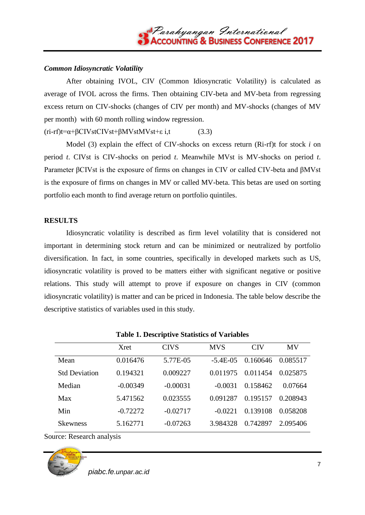

### *Common Idiosyncratic Volatility*

After obtaining IVOL, CIV (Common Idiosyncratic Volatility) is calculated as average of IVOL across the firms. Then obtaining CIV-beta and MV-beta from regressing excess return on CIV-shocks (changes of CIV per month) and MV-shocks (changes of MV per month) with 60 month rolling window regression.

 $(ri-rf)t = \alpha + \beta CVstCVst + \beta MVstMVst + \epsilon i, t$  (3.3)

Model (3) explain the effect of CIV-shocks on excess return (Ri-rf)t for stock *i* on period *t*. CIVst is CIV-shocks on period *t*. Meanwhile MVst is MV-shocks on period *t*. Parameter βCIVst is the exposure of firms on changes in CIV or called CIV-beta and βMVst is the exposure of firms on changes in MV or called MV-beta. This betas are used on sorting portfolio each month to find average return on portfolio quintiles.

#### **RESULTS**

Idiosyncratic volatility is described as firm level volatility that is considered not important in determining stock return and can be minimized or neutralized by portfolio diversification. In fact, in some countries, specifically in developed markets such as US, idiosyncratic volatility is proved to be matters either with significant negative or positive relations. This study will attempt to prove if exposure on changes in CIV (common idiosyncratic volatility) is matter and can be priced in Indonesia. The table below describe the descriptive statistics of variables used in this study.

**Table 1. Descriptive Statistics of Variables**

|                      | <b>Xret</b> | <b>CIVS</b> | <b>MVS</b>  | <b>CIV</b> | MV       |
|----------------------|-------------|-------------|-------------|------------|----------|
| Mean                 | 0.016476    | 5.77E-05    | $-5.4E-0.5$ | 0.160646   | 0.085517 |
| <b>Std Deviation</b> | 0.194321    | 0.009227    | 0.011975    | 0.011454   | 0.025875 |
| Median               | $-0.00349$  | $-0.00031$  | $-0.0031$   | 0.158462   | 0.07664  |
| Max                  | 5.471562    | 0.023555    | 0.091287    | 0.195157   | 0.208943 |
| Min                  | $-0.72272$  | $-0.02717$  | $-0.0221$   | 0.139108   | 0.058208 |
| <b>Skewness</b>      | 5.162771    | $-0.07263$  | 3.984328    | 0.742897   | 2.095406 |

Source: Research analysis

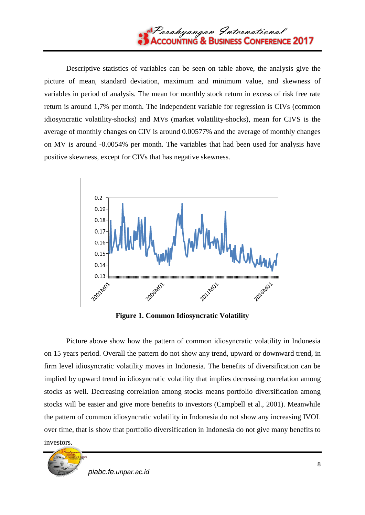

Descriptive statistics of variables can be seen on table above, the analysis give the picture of mean, standard deviation, maximum and minimum value, and skewness of variables in period of analysis. The mean for monthly stock return in excess of risk free rate return is around 1,7% per month. The independent variable for regression is CIVs (common idiosyncratic volatility-shocks) and MVs (market volatility-shocks), mean for CIVS is the average of monthly changes on CIV is around 0.00577% and the average of monthly changes on MV is around -0.0054% per month. The variables that had been used for analysis have positive skewness, except for CIVs that has negative skewness.



**Figure 1. Common Idiosyncratic Volatility**

Picture above show how the pattern of common idiosyncratic volatility in Indonesia on 15 years period. Overall the pattern do not show any trend, upward or downward trend, in firm level idiosyncratic volatility moves in Indonesia. The benefits of diversification can be implied by upward trend in idiosyncratic volatility that implies decreasing correlation among stocks as well. Decreasing correlation among stocks means portfolio diversification among stocks will be easier and give more benefits to investors (Campbell et al., 2001). Meanwhile the pattern of common idiosyncratic volatility in Indonesia do not show any increasing IVOL over time, that is show that portfolio diversification in Indonesia do not give many benefits to investors.

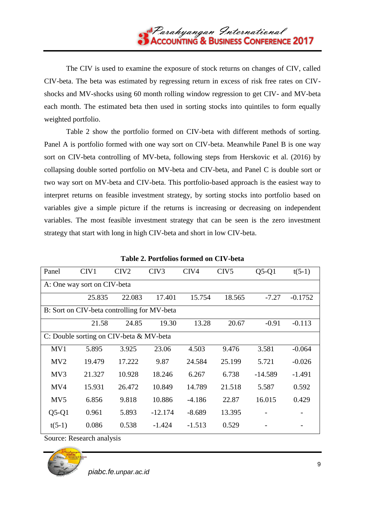The CIV is used to examine the exposure of stock returns on changes of CIV, called CIV-beta. The beta was estimated by regressing return in excess of risk free rates on CIVshocks and MV-shocks using 60 month rolling window regression to get CIV- and MV-beta each month. The estimated beta then used in sorting stocks into quintiles to form equally weighted portfolio.

Table 2 show the portfolio formed on CIV-beta with different methods of sorting. Panel A is portfolio formed with one way sort on CIV-beta. Meanwhile Panel B is one way sort on CIV-beta controlling of MV-beta, following steps from Herskovic et al. (2016) by collapsing double sorted portfolio on MV-beta and CIV-beta, and Panel C is double sort or two way sort on MV-beta and CIV-beta. This portfolio-based approach is the easiest way to interpret returns on feasible investment strategy, by sorting stocks into portfolio based on variables give a simple picture if the returns is increasing or decreasing on independent variables. The most feasible investment strategy that can be seen is the zero investment strategy that start with long in high CIV-beta and short in low CIV-beta.

| Panel                                       | CIV <sub>1</sub> | CIV <sub>2</sub> | CIV <sub>3</sub> | CIV4     | CIV <sub>5</sub> | $Q5-Q1$   | $t(5-1)$  |  |  |  |  |
|---------------------------------------------|------------------|------------------|------------------|----------|------------------|-----------|-----------|--|--|--|--|
| A: One way sort on CIV-beta                 |                  |                  |                  |          |                  |           |           |  |  |  |  |
|                                             | 25.835           | 22.083           | 17.401           | 15.754   | 18.565           | $-7.27$   | $-0.1752$ |  |  |  |  |
| B: Sort on CIV-beta controlling for MV-beta |                  |                  |                  |          |                  |           |           |  |  |  |  |
|                                             | 21.58            | 24.85            | 19.30            | 13.28    | 20.67            | $-0.91$   | $-0.113$  |  |  |  |  |
| C: Double sorting on CIV-beta & MV-beta     |                  |                  |                  |          |                  |           |           |  |  |  |  |
| MV1                                         | 5.895            | 3.925            | 23.06            | 4.503    | 9.476            | 3.581     | $-0.064$  |  |  |  |  |
| MV2                                         | 19.479           | 17.222           | 9.87             | 24.584   | 25.199           | 5.721     | $-0.026$  |  |  |  |  |
| MV3                                         | 21.327           | 10.928           | 18.246           | 6.267    | 6.738            | $-14.589$ | $-1.491$  |  |  |  |  |
| MV4                                         | 15.931           | 26.472           | 10.849           | 14.789   | 21.518           | 5.587     | 0.592     |  |  |  |  |
| MV <sub>5</sub>                             | 6.856            | 9.818            | 10.886           | $-4.186$ | 22.87            | 16.015    | 0.429     |  |  |  |  |
| $Q5-Q1$                                     | 0.961            | 5.893            | $-12.174$        | $-8.689$ | 13.395           |           |           |  |  |  |  |
| $t(5-1)$                                    | 0.086            | 0.538            | $-1.424$         | $-1.513$ | 0.529            |           |           |  |  |  |  |

**Table 2. Portfolios formed on CIV-beta**

Source: Research analysis

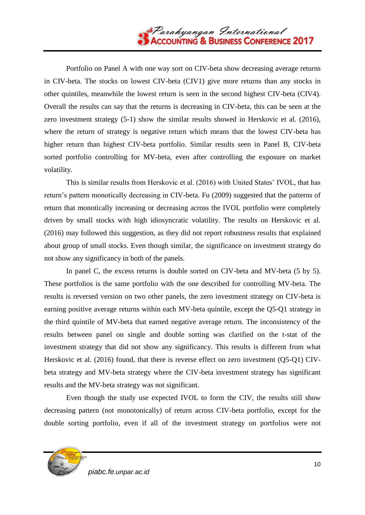

Portfolio on Panel A with one way sort on CIV-beta show decreasing average returns in CIV-beta. The stocks on lowest CIV-beta (CIV1) give more returns than any stocks in other quintiles, meanwhile the lowest return is seen in the second highest CIV-beta (CIV4). Overall the results can say that the returns is decreasing in CIV-beta, this can be seen at the zero investment strategy (5-1) show the similar results showed in Herskovic et al. (2016), where the return of strategy is negative return which means that the lowest CIV-beta has higher return than highest CIV-beta portfolio. Similar results seen in Panel B, CIV-beta sorted portfolio controlling for MV-beta, even after controlling the exposure on market volatility.

This is similar results from Herskovic et al. (2016) with United States' IVOL, that has return's pattern monotically decreasing in CIV-beta. Fu (2009) suggested that the patterns of return that monotically increasing or decreasing across the IVOL portfolio were completely driven by small stocks with high idiosyncratic volatility. The results on Herskovic et al. (2016) may followed this suggestion, as they did not report robustness results that explained about group of small stocks. Even though similar, the significance on investment strategy do not show any significancy in both of the panels.

In panel C, the excess returns is double sorted on CIV-beta and MV-beta (5 by 5). These portfolios is the same portfolio with the one described for controlling MV-beta. The results is reversed version on two other panels, the zero investment strategy on CIV-beta is earning positive average returns within each MV-beta quintile, except the Q5-Q1 strategy in the third quintile of MV-beta that earned negative average return. The inconsistency of the results between panel on single and double sorting was clarified on the t-stat of the investment strategy that did not show any significancy. This results is different from what Herskovic et al. (2016) found, that there is reverse effect on zero investment (Q5-Q1) CIVbeta strategy and MV-beta strategy where the CIV-beta investment strategy has significant results and the MV-beta strategy was not significant.

Even though the study use expected IVOL to form the CIV, the results still show decreasing pattern (not monotonically) of return across CIV-beta portfolio, except for the double sorting portfolio, even if all of the investment strategy on portfolios were not

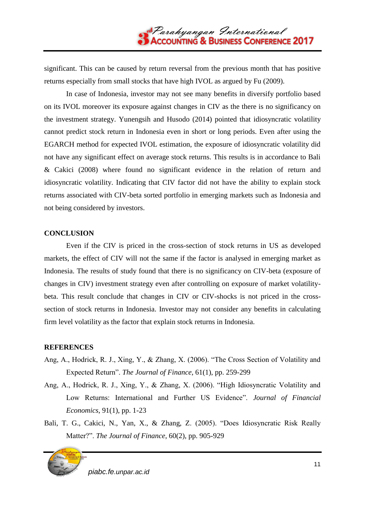significant. This can be caused by return reversal from the previous month that has positive returns especially from small stocks that have high IVOL as argued by Fu (2009).

In case of Indonesia, investor may not see many benefits in diversify portfolio based on its IVOL moreover its exposure against changes in CIV as the there is no significancy on the investment strategy. Yunengsih and Husodo (2014) pointed that idiosyncratic volatility cannot predict stock return in Indonesia even in short or long periods. Even after using the EGARCH method for expected IVOL estimation, the exposure of idiosyncratic volatility did not have any significant effect on average stock returns. This results is in accordance to Bali & Cakici (2008) where found no significant evidence in the relation of return and idiosyncratic volatility. Indicating that CIV factor did not have the ability to explain stock returns associated with CIV-beta sorted portfolio in emerging markets such as Indonesia and not being considered by investors.

### **CONCLUSION**

Even if the CIV is priced in the cross-section of stock returns in US as developed markets, the effect of CIV will not the same if the factor is analysed in emerging market as Indonesia. The results of study found that there is no significancy on CIV-beta (exposure of changes in CIV) investment strategy even after controlling on exposure of market volatilitybeta. This result conclude that changes in CIV or CIV-shocks is not priced in the crosssection of stock returns in Indonesia. Investor may not consider any benefits in calculating firm level volatility as the factor that explain stock returns in Indonesia.

## **REFERENCES**

- Ang, A., Hodrick, R. J., Xing, Y., & Zhang, X. (2006). "The Cross Section of Volatility and Expected Return". *The Journal of Finance*, 61(1), pp. 259-299
- Ang, A., Hodrick, R. J., Xing, Y., & Zhang, X. (2006). "High Idiosyncratic Volatility and Low Returns: International and Further US Evidence". *Journal of Financial Economics*, 91(1), pp. 1-23
- Bali, T. G., Cakici, N., Yan, X., & Zhang, Z. (2005). "Does Idiosyncratic Risk Really Matter?‖. *The Journal of Finance*, 60(2), pp. 905-929

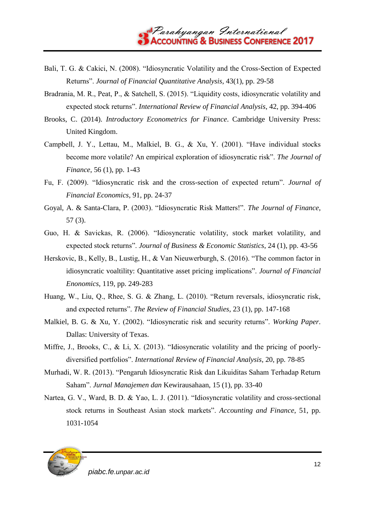- Bali, T. G. & Cakici, N. (2008). "Idiosyncratic Volatility and the Cross-Section of Expected Returns‖. *Journal of Financial Quantitative Analysis*, 43(1), pp. 29-58
- Bradrania, M. R., Peat, P., & Satchell, S. (2015). "Liquidity costs, idiosyncratic volatility and expected stock returns‖. *International Review of Financial Analysis*, 42, pp. 394-406
- Brooks, C. (2014). *Introductory Econometrics for Finance*. Cambridge University Press: United Kingdom.
- Campbell, J. Y., Lettau, M., Malkiel, B. G., & Xu, Y. (2001). "Have individual stocks become more volatile? An empirical exploration of idiosyncratic risk". *The Journal of Finance*, 56 (1), pp. 1-43
- Fu, F. (2009). "Idiosyncratic risk and the cross-section of expected return". *Journal of Financial Economics*, 91, pp. 24-37
- Goyal, A. & Santa-Clara, P. (2003). "Idiosyncratic Risk Matters!". *The Journal of Finance*, 57 (3).
- Guo, H. & Savickas, R. (2006). "Idiosyncratic volatility, stock market volatility, and expected stock returns". *Journal of Business & Economic Statistics*, 24 (1), pp. 43-56
- Herskovic, B., Kelly, B., Lustig, H., & Van Nieuwerburgh, S. (2016). "The common factor in idiosyncratic voaltility: Quantitative asset pricing implications". *Journal of Financial Enonomics*, 119, pp. 249-283
- Huang, W., Liu, Q., Rhee, S. G. & Zhang, L. (2010). "Return reversals, idiosyncratic risk, and expected returns". *The Review of Financial Studies*, 23 (1), pp. 147-168
- Malkiel, B. G. & Xu, Y. (2002). "Idiosyncratic risk and security returns". *Working Paper*. Dallas: University of Texas.
- Miffre, J., Brooks, C., & Li, X. (2013). "Idiosyncratic volatility and the pricing of poorlydiversified portfolios". *International Review of Financial Analysis*, 20, pp. 78-85
- Murhadi, W. R. (2013). "Pengaruh Idiosyncratic Risk dan Likuiditas Saham Terhadap Return Saham‖. *Jurnal Manajemen dan* Kewirausahaan, 15 (1), pp. 33-40
- Nartea, G. V., Ward, B. D. & Yao, L. J. (2011). "Idiosyncratic volatility and cross-sectional stock returns in Southeast Asian stock markets". *Accounting and Finance*, 51, pp. 1031-1054



*piabc.fe.unpar.ac.id*